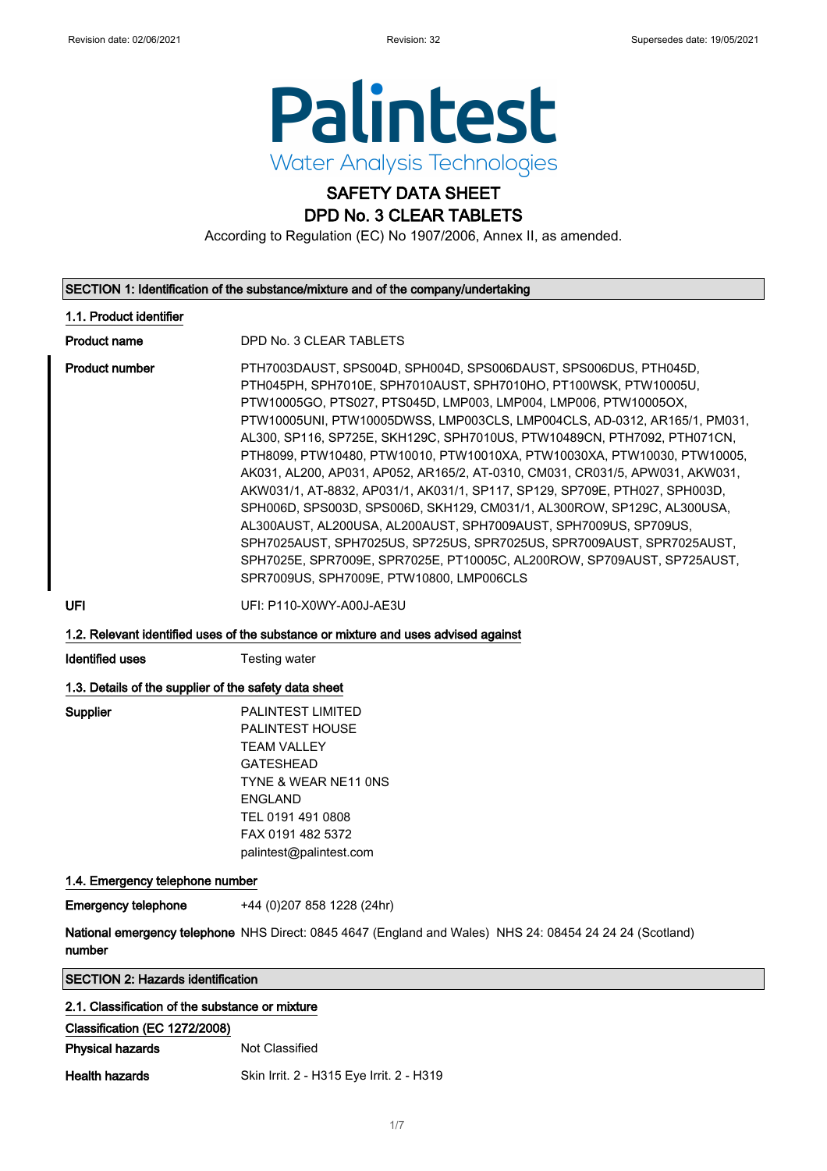

### SAFETY DATA SHEET DPD No. 3 CLEAR TABLETS

According to Regulation (EC) No 1907/2006, Annex II, as amended.

### SECTION 1: Identification of the substance/mixture and of the company/undertaking 1.1. Product identifier Product name DPD No. 3 CLEAR TABLETS Product number PTH7003DAUST, SPS004D, SPH004D, SPS006DAUST, SPS006DUS, PTH045D, PTH045PH, SPH7010E, SPH7010AUST, SPH7010HO, PT100WSK, PTW10005U, PTW10005GO, PTS027, PTS045D, LMP003, LMP004, LMP006, PTW10005OX, PTW10005UNI, PTW10005DWSS, LMP003CLS, LMP004CLS, AD-0312, AR165/1, PM031, AL300, SP116, SP725E, SKH129C, SPH7010US, PTW10489CN, PTH7092, PTH071CN, PTH8099, PTW10480, PTW10010, PTW10010XA, PTW10030XA, PTW10030, PTW10005, AK031, AL200, AP031, AP052, AR165/2, AT-0310, CM031, CR031/5, APW031, AKW031, AKW031/1, AT-8832, AP031/1, AK031/1, SP117, SP129, SP709E, PTH027, SPH003D, SPH006D, SPS003D, SPS006D, SKH129, CM031/1, AL300ROW, SP129C, AL300USA, AL300AUST, AL200USA, AL200AUST, SPH7009AUST, SPH7009US, SP709US, SPH7025AUST, SPH7025US, SP725US, SPR7025US, SPR7009AUST, SPR7025AUST, SPH7025E, SPR7009E, SPR7025E, PT10005C, AL200ROW, SP709AUST, SP725AUST, SPR7009US, SPH7009E, PTW10800, LMP006CLS UFI UFI: P110-X0WY-A00J-AE3U 1.2. Relevant identified uses of the substance or mixture and uses advised against **Identified uses** Testing water 1.3. Details of the supplier of the safety data sheet Supplier PALINTEST LIMITED PALINTEST HOUSE **TFAM VALLEY** GATESHEAD TYNE & WEAR NE11 0NS ENGLAND TEL 0191 491 0808 FAX 0191 482 5372 palintest@palintest.com 1.4. Emergency telephone number Emergency telephone +44 (0)207 858 1228 (24hr)

**National emergency telephone** NHS Direct: 0845 4647 (England and Wales) NHS 24: 08454 24 24 24 (Scotland)

number

| <b>SECTION 2: Hazards identification</b> |  |
|------------------------------------------|--|
|------------------------------------------|--|

| 2.1. Classification of the substance or mixture |                |
|-------------------------------------------------|----------------|
| Classification (EC 1272/2008)                   |                |
| <b>Physical hazards</b>                         | Not Classified |

Health hazards Skin Irrit. 2 - H315 Eye Irrit. 2 - H319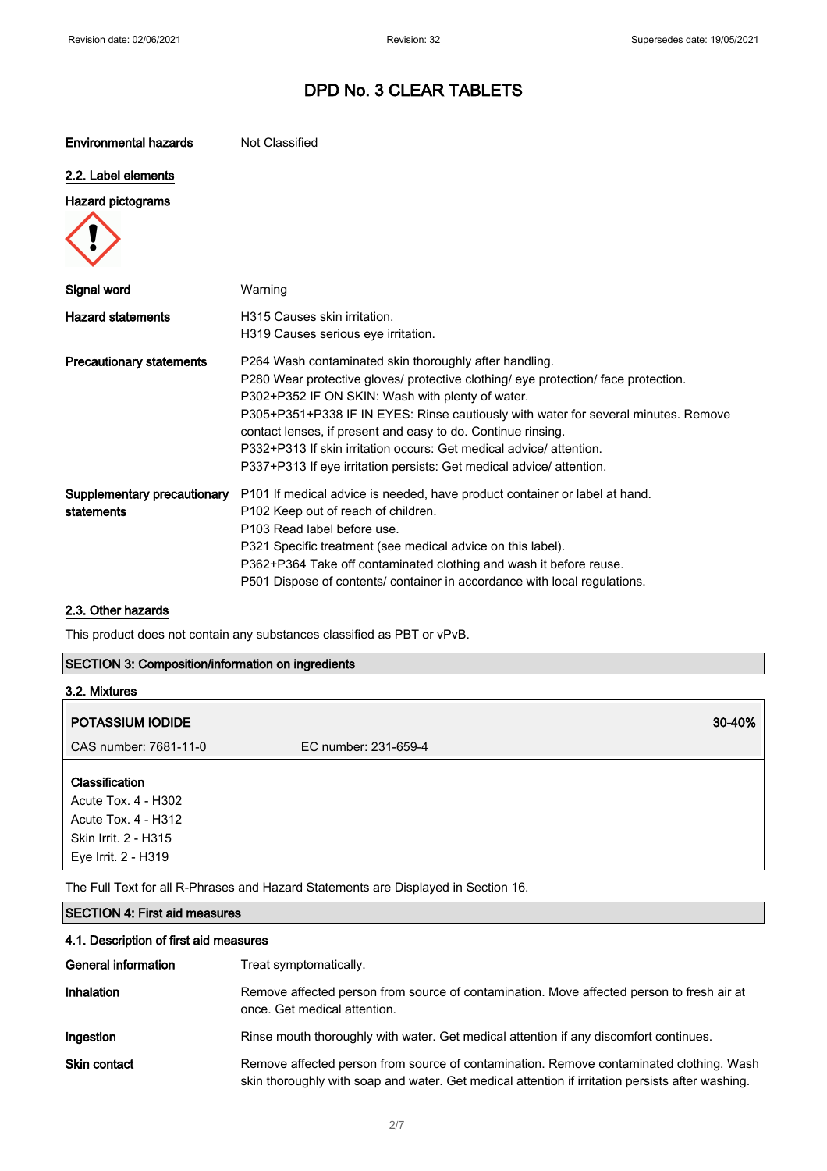| <b>Environmental hazards</b>              | Not Classified                                                                                                                                                                                                                                                                                                                                                                                                                                                                                       |
|-------------------------------------------|------------------------------------------------------------------------------------------------------------------------------------------------------------------------------------------------------------------------------------------------------------------------------------------------------------------------------------------------------------------------------------------------------------------------------------------------------------------------------------------------------|
| 2.2. Label elements                       |                                                                                                                                                                                                                                                                                                                                                                                                                                                                                                      |
| <b>Hazard pictograms</b>                  |                                                                                                                                                                                                                                                                                                                                                                                                                                                                                                      |
| Signal word                               | Warning                                                                                                                                                                                                                                                                                                                                                                                                                                                                                              |
| <b>Hazard statements</b>                  | H315 Causes skin irritation.<br>H319 Causes serious eye irritation.                                                                                                                                                                                                                                                                                                                                                                                                                                  |
| <b>Precautionary statements</b>           | P264 Wash contaminated skin thoroughly after handling.<br>P280 Wear protective gloves/ protective clothing/ eye protection/ face protection.<br>P302+P352 IF ON SKIN: Wash with plenty of water.<br>P305+P351+P338 IF IN EYES: Rinse cautiously with water for several minutes. Remove<br>contact lenses, if present and easy to do. Continue rinsing.<br>P332+P313 If skin irritation occurs: Get medical advice/attention.<br>P337+P313 If eye irritation persists: Get medical advice/ attention. |
| Supplementary precautionary<br>statements | P101 If medical advice is needed, have product container or label at hand.<br>P102 Keep out of reach of children.<br>P103 Read label before use.<br>P321 Specific treatment (see medical advice on this label).<br>P362+P364 Take off contaminated clothing and wash it before reuse.<br>P501 Dispose of contents/ container in accordance with local regulations.                                                                                                                                   |

#### 2.3. Other hazards

This product does not contain any substances classified as PBT or vPvB.

#### SECTION 3: Composition/information on ingredients

| 3.2. Mixtures                                                |                      |        |
|--------------------------------------------------------------|----------------------|--------|
| <b>POTASSIUM IODIDE</b>                                      |                      | 30-40% |
| CAS number: 7681-11-0                                        | EC number: 231-659-4 |        |
| Classification<br>Acute Tox. 4 - H302<br>Acute Tox. 4 - H312 |                      |        |
| Skin Irrit. 2 - H315<br>Eye Irrit. 2 - H319                  |                      |        |

The Full Text for all R-Phrases and Hazard Statements are Displayed in Section 16.

### SECTION 4: First aid measures

| 4.1. Description of first aid measures |  |  |
|----------------------------------------|--|--|
|----------------------------------------|--|--|

| General information | Treat symptomatically.                                                                                                                                                                      |
|---------------------|---------------------------------------------------------------------------------------------------------------------------------------------------------------------------------------------|
| Inhalation          | Remove affected person from source of contamination. Move affected person to fresh air at<br>once. Get medical attention.                                                                   |
| Ingestion           | Rinse mouth thoroughly with water. Get medical attention if any discomfort continues.                                                                                                       |
| <b>Skin contact</b> | Remove affected person from source of contamination. Remove contaminated clothing. Wash<br>skin thoroughly with soap and water. Get medical attention if irritation persists after washing. |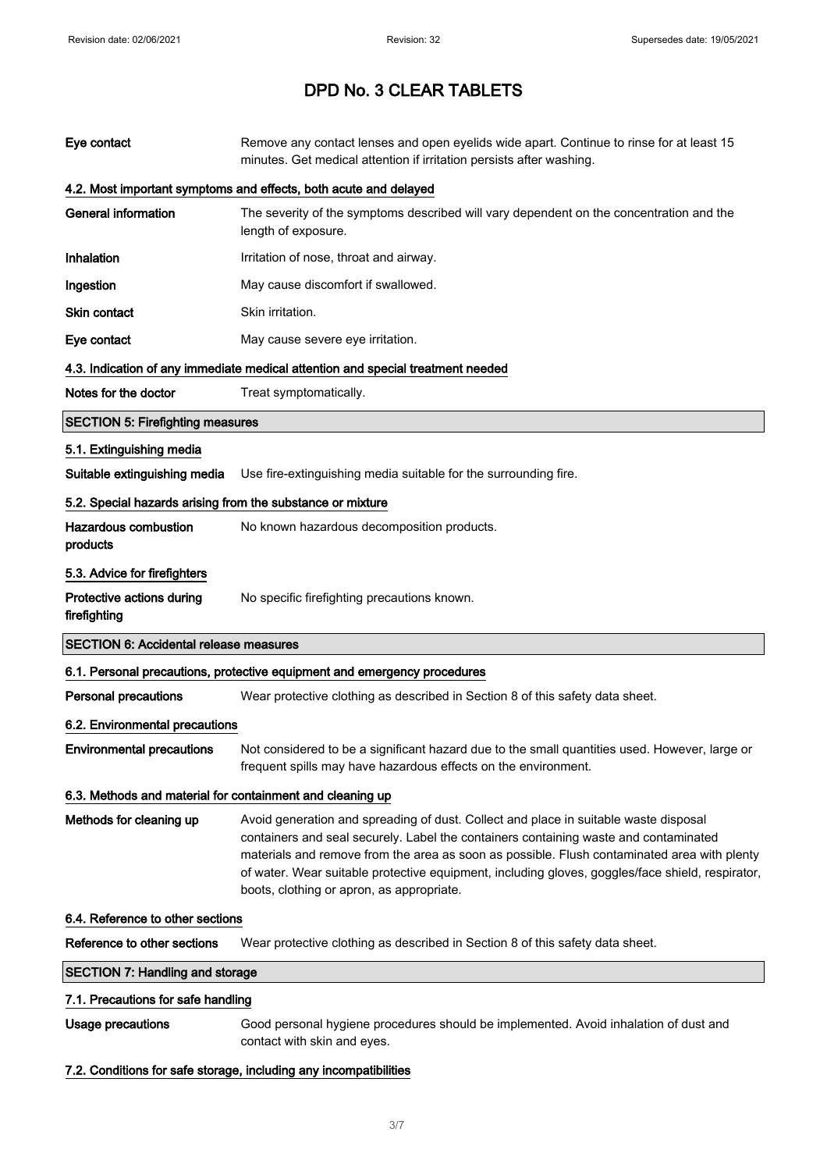| Eye contact                                                | Remove any contact lenses and open eyelids wide apart. Continue to rinse for at least 15<br>minutes. Get medical attention if irritation persists after washing.                                                                                                                                                                                                                                                             |  |
|------------------------------------------------------------|------------------------------------------------------------------------------------------------------------------------------------------------------------------------------------------------------------------------------------------------------------------------------------------------------------------------------------------------------------------------------------------------------------------------------|--|
|                                                            | 4.2. Most important symptoms and effects, both acute and delayed                                                                                                                                                                                                                                                                                                                                                             |  |
| <b>General information</b>                                 | The severity of the symptoms described will vary dependent on the concentration and the<br>length of exposure.                                                                                                                                                                                                                                                                                                               |  |
| <b>Inhalation</b>                                          | Irritation of nose, throat and airway.                                                                                                                                                                                                                                                                                                                                                                                       |  |
| Ingestion                                                  | May cause discomfort if swallowed.                                                                                                                                                                                                                                                                                                                                                                                           |  |
| <b>Skin contact</b>                                        | Skin irritation.                                                                                                                                                                                                                                                                                                                                                                                                             |  |
| Eye contact                                                | May cause severe eye irritation.                                                                                                                                                                                                                                                                                                                                                                                             |  |
|                                                            | 4.3. Indication of any immediate medical attention and special treatment needed                                                                                                                                                                                                                                                                                                                                              |  |
| Notes for the doctor                                       | Treat symptomatically.                                                                                                                                                                                                                                                                                                                                                                                                       |  |
| <b>SECTION 5: Firefighting measures</b>                    |                                                                                                                                                                                                                                                                                                                                                                                                                              |  |
| 5.1. Extinguishing media                                   |                                                                                                                                                                                                                                                                                                                                                                                                                              |  |
| Suitable extinguishing media                               | Use fire-extinguishing media suitable for the surrounding fire.                                                                                                                                                                                                                                                                                                                                                              |  |
| 5.2. Special hazards arising from the substance or mixture |                                                                                                                                                                                                                                                                                                                                                                                                                              |  |
| <b>Hazardous combustion</b><br>products                    | No known hazardous decomposition products.                                                                                                                                                                                                                                                                                                                                                                                   |  |
| 5.3. Advice for firefighters                               |                                                                                                                                                                                                                                                                                                                                                                                                                              |  |
| Protective actions during<br>firefighting                  | No specific firefighting precautions known.                                                                                                                                                                                                                                                                                                                                                                                  |  |
| <b>SECTION 6: Accidental release measures</b>              |                                                                                                                                                                                                                                                                                                                                                                                                                              |  |
|                                                            | 6.1. Personal precautions, protective equipment and emergency procedures                                                                                                                                                                                                                                                                                                                                                     |  |
| <b>Personal precautions</b>                                | Wear protective clothing as described in Section 8 of this safety data sheet.                                                                                                                                                                                                                                                                                                                                                |  |
| 6.2. Environmental precautions                             |                                                                                                                                                                                                                                                                                                                                                                                                                              |  |
| <b>Environmental precautions</b>                           | Not considered to be a significant hazard due to the small quantities used. However, large or<br>frequent spills may have hazardous effects on the environment.                                                                                                                                                                                                                                                              |  |
| 6.3. Methods and material for containment and cleaning up  |                                                                                                                                                                                                                                                                                                                                                                                                                              |  |
| Methods for cleaning up                                    | Avoid generation and spreading of dust. Collect and place in suitable waste disposal<br>containers and seal securely. Label the containers containing waste and contaminated<br>materials and remove from the area as soon as possible. Flush contaminated area with plenty<br>of water. Wear suitable protective equipment, including gloves, goggles/face shield, respirator,<br>boots, clothing or apron, as appropriate. |  |
| 6.4. Reference to other sections                           |                                                                                                                                                                                                                                                                                                                                                                                                                              |  |
| Reference to other sections                                | Wear protective clothing as described in Section 8 of this safety data sheet.                                                                                                                                                                                                                                                                                                                                                |  |
| <b>SECTION 7: Handling and storage</b>                     |                                                                                                                                                                                                                                                                                                                                                                                                                              |  |
| 7.1. Precautions for safe handling                         |                                                                                                                                                                                                                                                                                                                                                                                                                              |  |
| <b>Usage precautions</b>                                   | Good personal hygiene procedures should be implemented. Avoid inhalation of dust and<br>contact with skin and eyes.                                                                                                                                                                                                                                                                                                          |  |
|                                                            | 7.2. Conditions for safe storage, including any incompatibilities                                                                                                                                                                                                                                                                                                                                                            |  |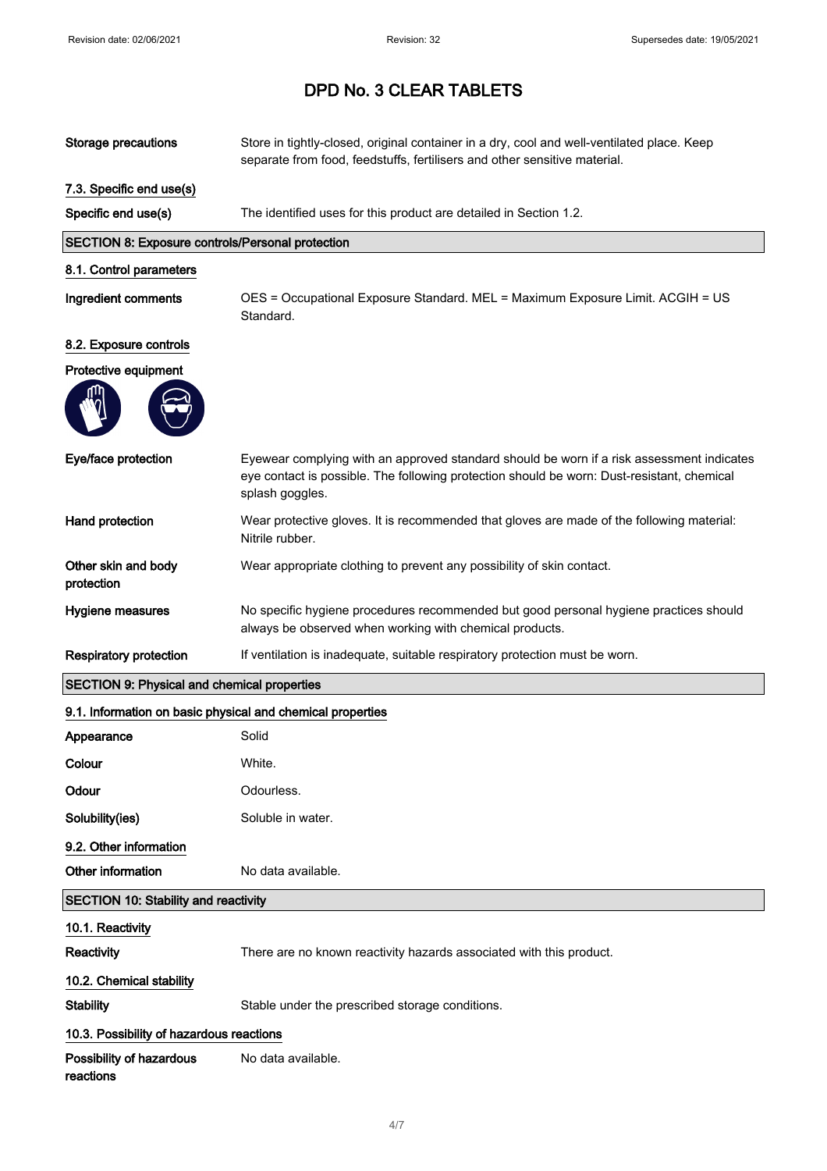| <b>Storage precautions</b>                                 | Store in tightly-closed, original container in a dry, cool and well-ventilated place. Keep<br>separate from food, feedstuffs, fertilisers and other sensitive material.                                    |
|------------------------------------------------------------|------------------------------------------------------------------------------------------------------------------------------------------------------------------------------------------------------------|
| 7.3. Specific end use(s)                                   |                                                                                                                                                                                                            |
| Specific end use(s)                                        | The identified uses for this product are detailed in Section 1.2.                                                                                                                                          |
| SECTION 8: Exposure controls/Personal protection           |                                                                                                                                                                                                            |
| 8.1. Control parameters                                    |                                                                                                                                                                                                            |
| Ingredient comments                                        | OES = Occupational Exposure Standard. MEL = Maximum Exposure Limit. ACGIH = US<br>Standard.                                                                                                                |
| 8.2. Exposure controls                                     |                                                                                                                                                                                                            |
| Protective equipment                                       |                                                                                                                                                                                                            |
|                                                            |                                                                                                                                                                                                            |
| Eye/face protection                                        | Eyewear complying with an approved standard should be worn if a risk assessment indicates<br>eye contact is possible. The following protection should be worn: Dust-resistant, chemical<br>splash goggles. |
| Hand protection                                            | Wear protective gloves. It is recommended that gloves are made of the following material:<br>Nitrile rubber.                                                                                               |
| Other skin and body<br>protection                          | Wear appropriate clothing to prevent any possibility of skin contact.                                                                                                                                      |
| Hygiene measures                                           | No specific hygiene procedures recommended but good personal hygiene practices should<br>always be observed when working with chemical products.                                                           |
| <b>Respiratory protection</b>                              | If ventilation is inadequate, suitable respiratory protection must be worn.                                                                                                                                |
| <b>SECTION 9: Physical and chemical properties</b>         |                                                                                                                                                                                                            |
| 9.1. Information on basic physical and chemical properties |                                                                                                                                                                                                            |
| Appearance                                                 | Solid                                                                                                                                                                                                      |
| Colour                                                     | White.                                                                                                                                                                                                     |
| Odour                                                      | Odourless.                                                                                                                                                                                                 |
| Solubility(ies)                                            | Soluble in water.                                                                                                                                                                                          |
| 9.2. Other information                                     |                                                                                                                                                                                                            |
| Other information                                          | No data available.                                                                                                                                                                                         |
| <b>SECTION 10: Stability and reactivity</b>                |                                                                                                                                                                                                            |
| 10.1. Reactivity                                           |                                                                                                                                                                                                            |
| Reactivity                                                 | There are no known reactivity hazards associated with this product.                                                                                                                                        |
| 10.2. Chemical stability                                   |                                                                                                                                                                                                            |
| <b>Stability</b>                                           | Stable under the prescribed storage conditions.                                                                                                                                                            |
| 10.3. Possibility of hazardous reactions                   |                                                                                                                                                                                                            |
| Possibility of hazardous<br>reactions                      | No data available.                                                                                                                                                                                         |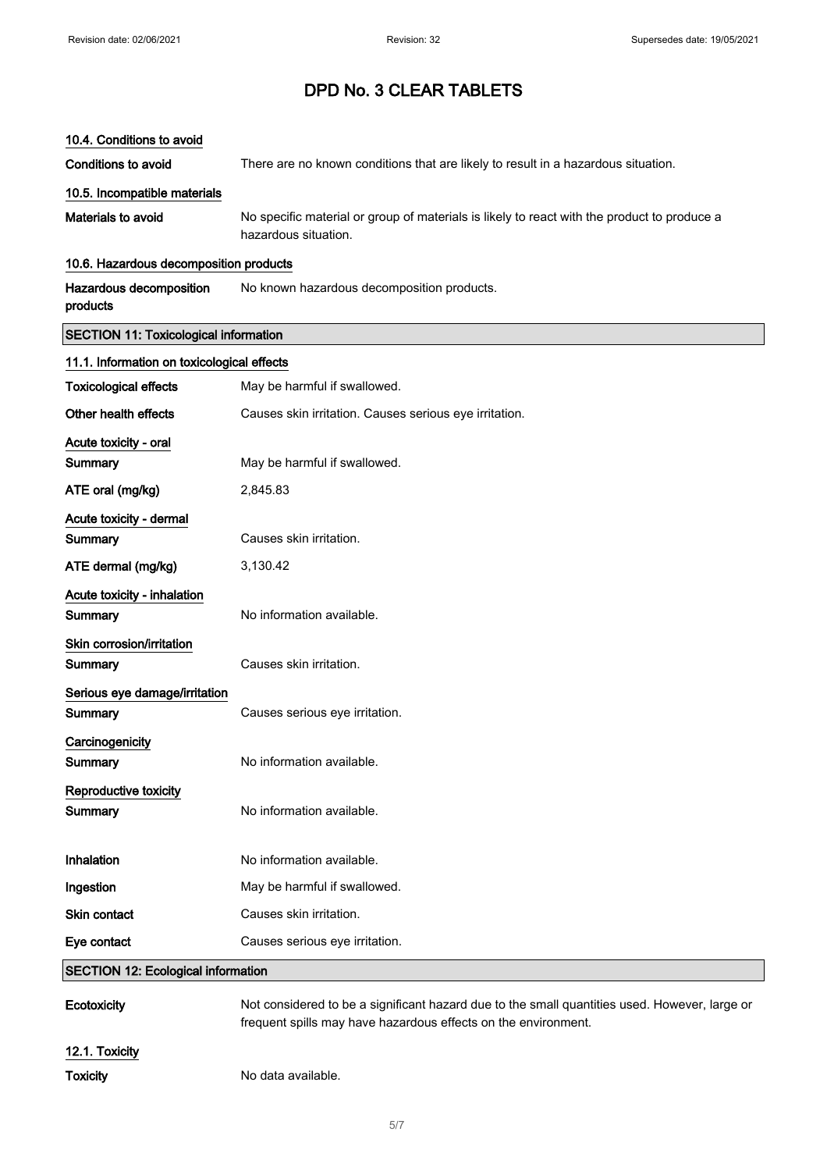#### 10.4. Conditions to avoid

Conditions to avoid There are no known conditions that are likely to result in a hazardous situation.

#### 10.5. Incompatible materials

Materials to avoid No specific material or group of materials is likely to react with the product to produce a hazardous situation.

#### 10.6. Hazardous decomposition products

| Hazardous decomposition | No known hazardous decomposition products. |
|-------------------------|--------------------------------------------|
| products                |                                            |

#### SECTION 11: Toxicological information

| 11.1. Information on toxicological effects |                                                        |  |
|--------------------------------------------|--------------------------------------------------------|--|
| <b>Toxicological effects</b>               | May be harmful if swallowed.                           |  |
| Other health effects                       | Causes skin irritation. Causes serious eye irritation. |  |
| Acute toxicity - oral                      |                                                        |  |
| Summary                                    | May be harmful if swallowed.                           |  |
| ATE oral (mg/kg)                           | 2,845.83                                               |  |
| Acute toxicity - dermal                    |                                                        |  |
| Summary                                    | Causes skin irritation.                                |  |
| ATE dermal (mg/kg)                         | 3,130.42                                               |  |
| Acute toxicity - inhalation                |                                                        |  |
| Summary                                    | No information available.                              |  |
| Skin corrosion/irritation                  |                                                        |  |
| Summary                                    | Causes skin irritation.                                |  |
| Serious eye damage/irritation              |                                                        |  |
| Summary                                    | Causes serious eye irritation.                         |  |
| Carcinogenicity                            |                                                        |  |
| Summary                                    | No information available.                              |  |
| Reproductive toxicity                      |                                                        |  |
| Summary                                    | No information available.                              |  |
| Inhalation                                 | No information available.                              |  |
| Ingestion                                  | May be harmful if swallowed.                           |  |
| Skin contact                               | Causes skin irritation.                                |  |
| Eye contact                                | Causes serious eye irritation.                         |  |
| <b>SECTION 12: Ecological information</b>  |                                                        |  |
|                                            |                                                        |  |

| Ecotoxicity    | Not considered to be a significant hazard due to the small quantities used. However, large or<br>frequent spills may have hazardous effects on the environment. |
|----------------|-----------------------------------------------------------------------------------------------------------------------------------------------------------------|
| 12.1. Toxicity |                                                                                                                                                                 |
| Toxicity       | No data available.                                                                                                                                              |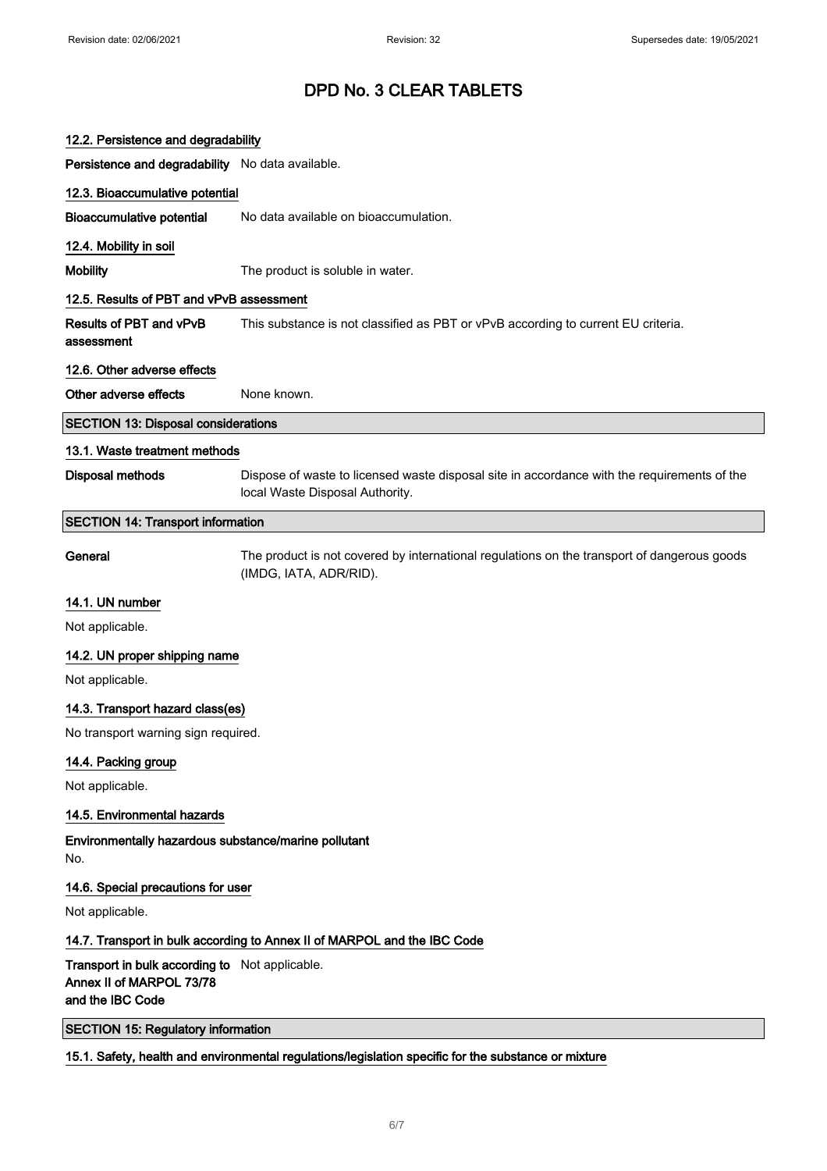| 12.2. Persistence and degradability                                                            |                                                                                                                                |  |
|------------------------------------------------------------------------------------------------|--------------------------------------------------------------------------------------------------------------------------------|--|
| Persistence and degradability No data available.                                               |                                                                                                                                |  |
| 12.3. Bioaccumulative potential                                                                |                                                                                                                                |  |
| <b>Bioaccumulative potential</b>                                                               | No data available on bioaccumulation.                                                                                          |  |
| 12.4. Mobility in soil                                                                         |                                                                                                                                |  |
| <b>Mobility</b>                                                                                | The product is soluble in water.                                                                                               |  |
| 12.5. Results of PBT and vPvB assessment                                                       |                                                                                                                                |  |
| Results of PBT and vPvB<br>assessment                                                          | This substance is not classified as PBT or vPvB according to current EU criteria.                                              |  |
| 12.6. Other adverse effects                                                                    |                                                                                                                                |  |
| Other adverse effects                                                                          | None known.                                                                                                                    |  |
| <b>SECTION 13: Disposal considerations</b>                                                     |                                                                                                                                |  |
| 13.1. Waste treatment methods                                                                  |                                                                                                                                |  |
| <b>Disposal methods</b>                                                                        | Dispose of waste to licensed waste disposal site in accordance with the requirements of the<br>local Waste Disposal Authority. |  |
| <b>SECTION 14: Transport information</b>                                                       |                                                                                                                                |  |
| General                                                                                        | The product is not covered by international regulations on the transport of dangerous goods<br>(IMDG, IATA, ADR/RID).          |  |
| 14.1. UN number                                                                                |                                                                                                                                |  |
| Not applicable.                                                                                |                                                                                                                                |  |
| 14.2. UN proper shipping name                                                                  |                                                                                                                                |  |
| Not applicable.                                                                                |                                                                                                                                |  |
| 14.3. Transport hazard class(es)                                                               |                                                                                                                                |  |
| No transport warning sign required.                                                            |                                                                                                                                |  |
| 14.4. Packing group                                                                            |                                                                                                                                |  |
| Not applicable.                                                                                |                                                                                                                                |  |
| 14.5. Environmental hazards                                                                    |                                                                                                                                |  |
| Environmentally hazardous substance/marine pollutant<br>No.                                    |                                                                                                                                |  |
| 14.6. Special precautions for user                                                             |                                                                                                                                |  |
| Not applicable.                                                                                |                                                                                                                                |  |
|                                                                                                | 14.7. Transport in bulk according to Annex II of MARPOL and the IBC Code                                                       |  |
| Transport in bulk according to Not applicable.<br>Annex II of MARPOL 73/78<br>and the IBC Code |                                                                                                                                |  |
| <b>SECTION 15: Regulatory information</b>                                                      |                                                                                                                                |  |
|                                                                                                | 15.1. Safety, health and environmental regulations/legislation specific for the substance or mixture                           |  |